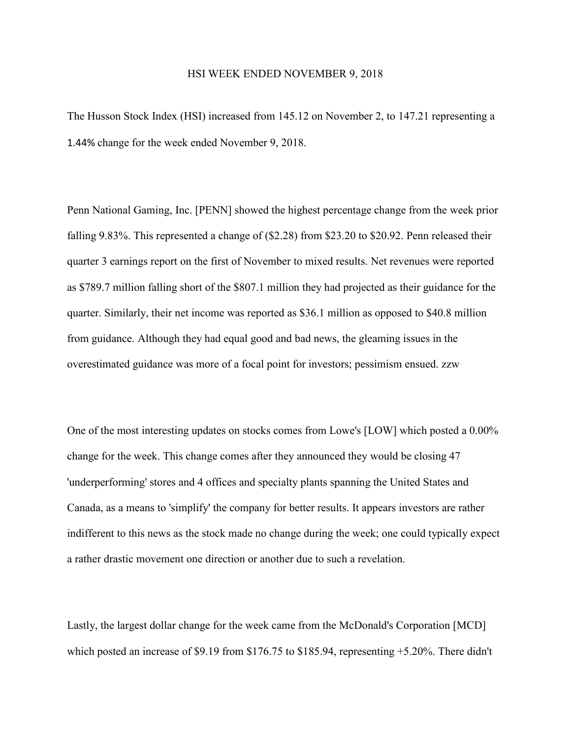## HSI WEEK ENDED NOVEMBER 9, 2018

The Husson Stock Index (HSI) increased from 145.12 on November 2, to 147.21 representing a 1.44% change for the week ended November 9, 2018.

Penn National Gaming, Inc. [PENN] showed the highest percentage change from the week prior falling 9.83%. This represented a change of (\$2.28) from \$23.20 to \$20.92. Penn released their quarter 3 earnings report on the first of November to mixed results. Net revenues were reported as \$789.7 million falling short of the \$807.1 million they had projected as their guidance for the quarter. Similarly, their net income was reported as \$36.1 million as opposed to \$40.8 million from guidance. Although they had equal good and bad news, the gleaming issues in the overestimated guidance was more of a focal point for investors; pessimism ensued. zzw

One of the most interesting updates on stocks comes from Lowe's [LOW] which posted a 0.00% change for the week. This change comes after they announced they would be closing 47 'underperforming' stores and 4 offices and specialty plants spanning the United States and Canada, as a means to 'simplify' the company for better results. It appears investors are rather indifferent to this news as the stock made no change during the week; one could typically expect a rather drastic movement one direction or another due to such a revelation.

Lastly, the largest dollar change for the week came from the McDonald's Corporation [MCD] which posted an increase of \$9.19 from \$176.75 to \$185.94, representing +5.20%. There didn't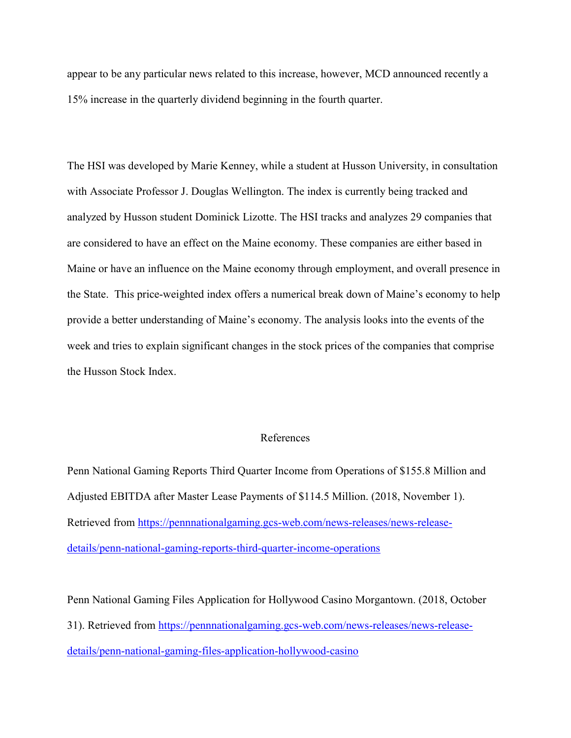appear to be any particular news related to this increase, however, MCD announced recently a 15% increase in the quarterly dividend beginning in the fourth quarter.

The HSI was developed by Marie Kenney, while a student at Husson University, in consultation with Associate Professor J. Douglas Wellington. The index is currently being tracked and analyzed by Husson student Dominick Lizotte. The HSI tracks and analyzes 29 companies that are considered to have an effect on the Maine economy. These companies are either based in Maine or have an influence on the Maine economy through employment, and overall presence in the State. This price-weighted index offers a numerical break down of Maine's economy to help provide a better understanding of Maine's economy. The analysis looks into the events of the week and tries to explain significant changes in the stock prices of the companies that comprise the Husson Stock Index.

## References

Penn National Gaming Reports Third Quarter Income from Operations of \$155.8 Million and Adjusted EBITDA after Master Lease Payments of \$114.5 Million. (2018, November 1). Retrieved from [https://pennnationalgaming.gcs-web.com/news-releases/news-release](https://pennnationalgaming.gcs-web.com/news-releases/news-release-details/penn-national-gaming-reports-third-quarter-income-operations)[details/penn-national-gaming-reports-third-quarter-income-operations](https://pennnationalgaming.gcs-web.com/news-releases/news-release-details/penn-national-gaming-reports-third-quarter-income-operations)

Penn National Gaming Files Application for Hollywood Casino Morgantown. (2018, October 31). Retrieved from [https://pennnationalgaming.gcs-web.com/news-releases/news-release](https://pennnationalgaming.gcs-web.com/news-releases/news-release-details/penn-national-gaming-files-application-hollywood-casino)[details/penn-national-gaming-files-application-hollywood-casino](https://pennnationalgaming.gcs-web.com/news-releases/news-release-details/penn-national-gaming-files-application-hollywood-casino)